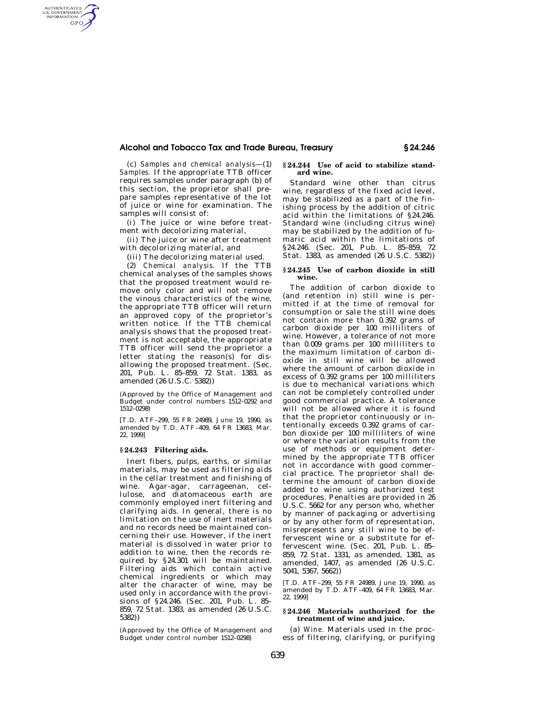# **Alcohol and Tobacco Tax and Trade Bureau, Treasury § 24.246**

(c) *Samples and chemical analysis*—(1) *Samples.* If the appropriate TTB officer requires samples under paragraph (b) of this section, the proprietor shall prepare samples representative of the lot of juice or wine for examination. The samples will consist of:

AUTHENTICATED<br>U.S. GOVERNMENT<br>INFORMATION **GPO** 

> (i) The juice or wine before treatment with decolorizing material,

> (ii) The juice or wine after treatment with decolorizing material, and

(iii) The decolorizing material used.

(2) *Chemical analysis.* If the TTB chemical analyses of the samples shows that the proposed treatment would remove only color and will not remove the vinous characteristics of the wine, the appropriate TTB officer will return an approved copy of the proprietor's written notice. If the TTB chemical analysis shows that the proposed treatment is not acceptable, the appropriate TTB officer will send the proprietor a letter stating the reason(s) for disallowing the proposed treatment. (Sec. 201, Pub. L. 85–859, 72 Stat. 1383, as amended (26 U.S.C. 5382))

(Approved by the Office of Management and Budget under control numbers 1512–0292 and 1512–0298)

[T.D. ATF–299, 55 FR 24989, June 19, 1990, as amended by T.D. ATF–409, 64 FR 13683, Mar. 22, 1999]

## **§ 24.243 Filtering aids.**

Inert fibers, pulps, earths, or similar materials, may be used as filtering aids in the cellar treatment and finishing of wine. Agar-agar, carrageenan, cellulose, and diatomaceous earth are commonly employed inert filtering and clarifying aids. In general, there is no limitation on the use of inert materials and no records need be maintained concerning their use. However, if the inert material is dissolved in water prior to addition to wine, then the records required by §24.301 will be maintained. Filtering aids which contain active chemical ingredients or which may alter the character of wine, may be used only in accordance with the provisions of §24.246. (Sec. 201, Pub. L. 85– 859, 72 Stat. 1383, as amended (26 U.S.C. 5382))

(Approved by the Office of Management and Budget under control number 1512–0298)

## **§ 24.244 Use of acid to stabilize standard wine.**

Standard wine other than citrus wine, regardless of the fixed acid level, may be stabilized as a part of the finishing process by the addition of citric acid within the limitations of §24.246. Standard wine (including citrus wine) may be stabilized by the addition of fumaric acid within the limitations of §24.246. (Sec. 201, Pub. L. 85-859, 72 Stat. 1383, as amended (26 U.S.C. 5382))

#### **§ 24.245 Use of carbon dioxide in still wine.**

The addition of carbon dioxide to (and retention in) still wine is permitted if at the time of removal for consumption or sale the still wine does not contain more than 0.392 grams of carbon dioxide per 100 milliliters of wine. However, a tolerance of not more than 0.009 grams per 100 milliliters to the maximum limitation of carbon dioxide in still wine will be allowed where the amount of carbon dioxide in excess of 0.392 grams per 100 milliliters is due to mechanical variations which can not be completely controlled under good commercial practice. A tolerance will not be allowed where it is found that the proprietor continuously or intentionally exceeds 0.392 grams of carbon dioxide per 100 milliliters of wine or where the variation results from the use of methods or equipment determined by the appropriate TTB officer not in accordance with good commercial practice. The proprietor shall determine the amount of carbon dioxide added to wine using authorized test procedures. Penalties are provided in 26 U.S.C. 5662 for any person who, whether by manner of packaging or advertising or by any other form of representation, misrepresents any still wine to be effervescent wine or a substitute for effervescent wine. (Sec. 201, Pub. L. 85– 859, 72 Stat. 1331, as amended, 1381, as amended, 1407, as amended (26 U.S.C. 5041, 5367, 5662))

[T.D. ATF–299, 55 FR 24989, June 19, 1990, as amended by T.D. ATF–409, 64 FR 13683, Mar. 22, 1999]

## **§ 24.246 Materials authorized for the treatment of wine and juice.**

(a) *Wine.* Materials used in the process of filtering, clarifying, or purifying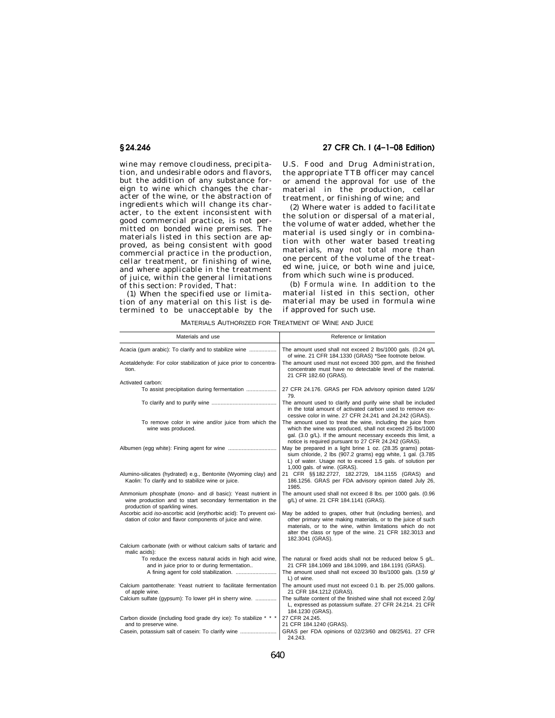wine may remove cloudiness, precipitation, and undesirable odors and flavors, but the addition of any substance foreign to wine which changes the character of the wine, or the abstraction of ingredients which will change its character, to the extent inconsistent with good commercial practice, is not permitted on bonded wine premises. The materials listed in this section are approved, as being consistent with good commercial practice in the production, cellar treatment, or finishing of wine, and where applicable in the treatment of juice, within the general limitations of this section: *Provided,* That:

(1) When the specified use or limitation of any material on this list is determined to be unacceptable by the

**§ 24.246 27 CFR Ch. I (4–1–08 Edition)** 

U.S. Food and Drug Administration, the appropriate TTB officer may cancel or amend the approval for use of the material in the production, cellar treatment, or finishing of wine; and

(2) Where water is added to facilitate the solution or dispersal of a material, the volume of water added, whether the material is used singly or in combination with other water based treating materials, may not total more than one percent of the volume of the treated wine, juice, or both wine and juice, from which such wine is produced.

(b) *Formula wine.* In addition to the material listed in this section, other material may be used in formula wine if approved for such use.

| Materials and use                                                                                                                                          | Reference or limitation                                                                                                                                                                                                                                                    |
|------------------------------------------------------------------------------------------------------------------------------------------------------------|----------------------------------------------------------------------------------------------------------------------------------------------------------------------------------------------------------------------------------------------------------------------------|
| Acacia (qum arabic): To clarify and to stabilize wine                                                                                                      | The amount used shall not exceed 2 lbs/1000 gals. (0.24 g/L<br>of wine. 21 CFR 184.1330 (GRAS) *See footnote below.                                                                                                                                                        |
| Acetaldehyde: For color stabilization of juice prior to concentra-<br>tion.                                                                                | The amount used must not exceed 300 ppm, and the finished<br>concentrate must have no detectable level of the material.<br>21 CFR 182.60 (GRAS).                                                                                                                           |
| Activated carbon:                                                                                                                                          |                                                                                                                                                                                                                                                                            |
| To assist precipitation during fermentation                                                                                                                | 27 CFR 24.176. GRAS per FDA advisory opinion dated 1/26/<br>79.                                                                                                                                                                                                            |
|                                                                                                                                                            | The amount used to clarify and purify wine shall be included<br>in the total amount of activated carbon used to remove ex-<br>cessive color in wine. 27 CFR 24.241 and 24.242 (GRAS).                                                                                      |
| To remove color in wine and/or juice from which the<br>wine was produced.                                                                                  | The amount used to treat the wine, including the juice from<br>which the wine was produced, shall not exceed 25 lbs/1000<br>gal. (3.0 g/L). If the amount necessary exceeds this limit, a<br>notice is required pursuant to 27 CFR 24.242 (GRAS).                          |
|                                                                                                                                                            | May be prepared in a light brine 1 oz. (28.35 grams) potas-<br>sium chloride, 2 lbs (907.2 grams) egg white, 1 gal. (3.785<br>L) of water. Usage not to exceed 1.5 gals. of solution per<br>1,000 gals. of wine. (GRAS).                                                   |
| Alumino-silicates (hydrated) e.g., Bentonite (Wyoming clay) and<br>Kaolin: To clarify and to stabilize wine or juice.                                      | 21 CFR §§ 182.2727, 182.2729, 184.1155 (GRAS) and<br>186.1256. GRAS per FDA advisory opinion dated July 26,<br>1985.                                                                                                                                                       |
| Ammonium phosphate (mono- and di basic): Yeast nutrient in<br>wine production and to start secondary fermentation in the<br>production of sparkling wines. | The amount used shall not exceed 8 lbs. per 1000 gals. (0.96<br>q/L) of wine. 21 CFR 184.1141 (GRAS).                                                                                                                                                                      |
| Ascorbic acid iso-ascorbic acid (erythorbic acid): To prevent oxi-<br>dation of color and flavor components of juice and wine.                             | May be added to grapes, other fruit (including berries), and<br>other primary wine making materials, or to the juice of such<br>materials, or to the wine, within limitations which do not<br>alter the class or type of the wine. 21 CFR 182.3013 and<br>182.3041 (GRAS). |
| Calcium carbonate (with or without calcium salts of tartaric and<br>malic acids):                                                                          |                                                                                                                                                                                                                                                                            |
| To reduce the excess natural acids in high acid wine,<br>and in juice prior to or during fermentation                                                      | The natural or fixed acids shall not be reduced below 5 g/L.<br>21 CFR 184.1069 and 184.1099, and 184.1191 (GRAS).<br>The amount used shall not exceed 30 lbs/1000 gals. (3.59 g/                                                                                          |
|                                                                                                                                                            | L) of wine.                                                                                                                                                                                                                                                                |
| Calcium pantothenate: Yeast nutrient to facilitate fermentation<br>of apple wine.                                                                          | The amount used must not exceed 0.1 lb. per 25,000 gallons.<br>21 CFR 184.1212 (GRAS).                                                                                                                                                                                     |
| Calcium sulfate (gypsum): To lower pH in sherry wine.                                                                                                      | The sulfate content of the finished wine shall not exceed 2.0q/<br>L, expressed as potassium sulfate. 27 CFR 24.214. 21 CFR<br>184.1230 (GRAS).                                                                                                                            |
| Carbon dioxide (including food grade dry ice): To stabilize * * *<br>and to preserve wine.                                                                 | 27 CFR 24.245.<br>21 CFR 184.1240 (GRAS).                                                                                                                                                                                                                                  |
| Casein, potassium salt of casein: To clarify wine                                                                                                          | GRAS per FDA opinions of 02/23/60 and 08/25/61. 27 CFR<br>24.243.                                                                                                                                                                                                          |

MATERIALS AUTHORIZED FOR TREATMENT OF WINE AND JUICE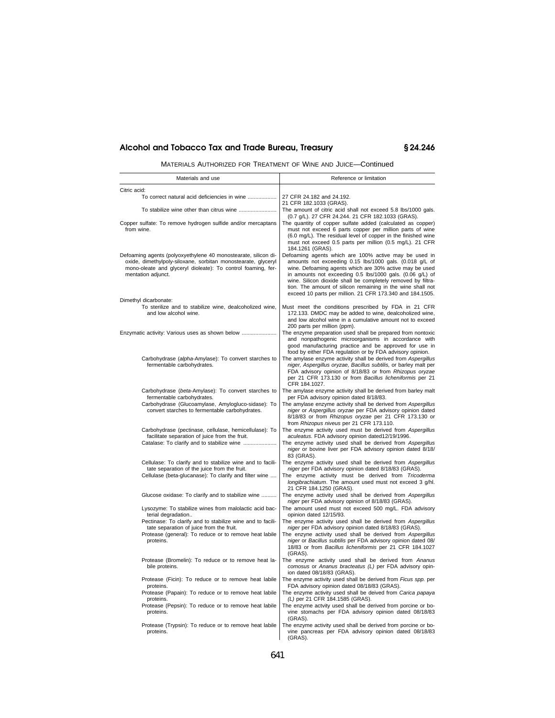# **Alcohol and Tobacco Tax and Trade Bureau, Treasury § 24.246**

MATERIALS AUTHORIZED FOR TREATMENT OF WINE AND JUICE—Continued

| Materials and use                                                                                                                                                                                                     | Reference or limitation                                                                                                                                                                                                                                                                                                                                                                                                              |
|-----------------------------------------------------------------------------------------------------------------------------------------------------------------------------------------------------------------------|--------------------------------------------------------------------------------------------------------------------------------------------------------------------------------------------------------------------------------------------------------------------------------------------------------------------------------------------------------------------------------------------------------------------------------------|
| Citric acid:                                                                                                                                                                                                          |                                                                                                                                                                                                                                                                                                                                                                                                                                      |
| To correct natural acid deficiencies in wine                                                                                                                                                                          | 27 CFR 24.182 and 24.192.<br>21 CFR 182.1033 (GRAS).                                                                                                                                                                                                                                                                                                                                                                                 |
| To stabilize wine other than citrus wine                                                                                                                                                                              | The amount of citric acid shall not exceed 5.8 lbs/1000 gals.<br>(0.7 g/L). 27 CFR 24.244. 21 CFR 182.1033 (GRAS).                                                                                                                                                                                                                                                                                                                   |
| Copper sulfate: To remove hydrogen sulfide and/or mercaptans<br>from wine.                                                                                                                                            | The quantity of copper sulfate added (calculated as copper)<br>must not exceed 6 parts copper per million parts of wine<br>(6.0 mg/L). The residual level of copper in the finished wine<br>must not exceed 0.5 parts per million (0.5 mg/L). 21 CFR<br>184.1261 (GRAS).                                                                                                                                                             |
| Defoaming agents (polyoxyethylene 40 monostearate, silicon di-<br>oxide, dimethylpoly-siloxane, sorbitan monostearate, glyceryl<br>mono-oleate and glyceryl dioleate): To control foaming, fer-<br>mentation adjunct. | Defoaming agents which are 100% active may be used in<br>amounts not exceeding 0.15 lbs/1000 gals. (0.018 g/L of<br>wine. Defoaming agents which are 30% active may be used<br>in amounts not exceeding 0.5 lbs/1000 gals. (0.06 g/L) of<br>wine. Silicon dioxide shall be completely removed by filtra-<br>tion. The amount of silicon remaining in the wine shall not<br>exceed 10 parts per million. 21 CFR 173.340 and 184.1505. |
| Dimethyl dicarbonate:<br>To sterilize and to stabilize wine, dealcoholized wine,<br>and low alcohol wine.                                                                                                             | Must meet the conditions prescribed by FDA in 21 CFR<br>172.133. DMDC may be added to wine, dealcoholized wine,<br>and low alcohol wine in a cumulative amount not to exceed                                                                                                                                                                                                                                                         |
| Enzymatic activity: Various uses as shown below                                                                                                                                                                       | 200 parts per million (ppm).<br>The enzyme preparation used shall be prepared from nontoxic<br>and nonpathogenic microorganisms in accordance with<br>good manufacturing practice and be approved for use in<br>food by either FDA regulation or by FDA advisory opinion.                                                                                                                                                            |
| Carbohydrase (alpha-Amylase): To convert starches to<br>fermentable carbohydrates.                                                                                                                                    | The amylase enzyme activity shall be derived from Aspergillus<br>niger, Aspergillus oryzae, Bacillus subtilis, or barley malt per<br>FDA advisory opinion of 8/18/83 or from Rhizopus oryzae<br>per 21 CFR 173.130 or from Bacillus licheniformis per 21<br>CFR 184.1027.                                                                                                                                                            |
| Carbohydrase (beta-Amylase): To convert starches to<br>fermentable carbohydrates.                                                                                                                                     | The amylase enzyme activity shall be derived from barley malt<br>per FDA advisory opinion dated 8/18/83.                                                                                                                                                                                                                                                                                                                             |
| Carbohydrase (Glucoamylase, Amylogluco-sidase): To<br>convert starches to fermentable carbohydrates.                                                                                                                  | The amylase enzyme activity shall be derived from Aspergillus<br>niger or Aspergillus oryzae per FDA advisory opinion dated<br>8/18/83 or from Rhizopus oryzae per 21 CFR 173.130 or<br>from Rhizopus niveus per 21 CFR 173.110.                                                                                                                                                                                                     |
| Carbohydrase (pectinase, cellulase, hemicellulase): To<br>facilitate separation of juice from the fruit.<br>Catalase: To clarify and to stabilize wine                                                                | The enzyme activity used must be derived from Aspergillus<br>aculeatus. FDA advisory opinion dated12/19/1996.<br>The enzyme activity used shall be derived from Aspergillus                                                                                                                                                                                                                                                          |
|                                                                                                                                                                                                                       | niger or bovine liver per FDA advisory opinion dated 8/18/<br>83 (GRAS).                                                                                                                                                                                                                                                                                                                                                             |
| Cellulase: To clarify and to stabilize wine and to facili-<br>tate separation of the juice from the fruit.<br>Cellulase (beta-glucanase): To clarify and filter wine                                                  | The enzyme activity used shall be derived from Aspergillus<br>niger per FDA advisory opinion dated 8/18/83 (GRAS).<br>The enzyme activity must be derived from Tricoderma<br>longibrachiatum. The amount used must not exceed 3 g/hl.<br>21 CFR 184.1250 (GRAS).                                                                                                                                                                     |
| Glucose oxidase: To clarify and to stabilize wine                                                                                                                                                                     | The enzyme activity used shall be derived from Aspergillus<br>niger per FDA advisory opinion of 8/18/83 (GRAS).                                                                                                                                                                                                                                                                                                                      |
| Lysozyme: To stabilize wines from malolactic acid bac-<br>terial degradation                                                                                                                                          | The amount used must not exceed 500 mg/L. FDA advisory<br>opinion dated 12/15/93.                                                                                                                                                                                                                                                                                                                                                    |
| Pectinase: To clarify and to stabilize wine and to facili-<br>tate separation of juice from the fruit.<br>Protease (general): To reduce or to remove heat labile<br>proteins.                                         | The enzyme activity used shall be derived from Aspergillus<br>niger per FDA advisory opinion dated 8/18/83 (GRAS).<br>The enzyne activity used shall be derived from Aspergillus<br>niger or Bacillus subtilis per FDA advisory opinion dated 08/<br>18/83 or from Bacillus licheniformis per 21 CFR 184.1027<br>(GRAS).                                                                                                             |
| Protease (Bromelin): To reduce or to remove heat la-<br>bile proteins.                                                                                                                                                | The enzyme activity used shall be derived from Ananus<br>comosus or Ananus bracteatus (L) per FDA advisory opin-<br>ion dated 08/18/83 (GRAS).                                                                                                                                                                                                                                                                                       |
| Protease (Ficin): To reduce or to remove heat labile<br>proteins.                                                                                                                                                     | The enzyme activity used shall be derived from Ficus spp. per<br>FDA advisory opinion dated 08/18/83 (GRAS).                                                                                                                                                                                                                                                                                                                         |
| Protease (Papain): To reduce or to remove heat labile<br>proteins.                                                                                                                                                    | The enzyme activity used shall be deived from Carica papaya<br>(L) per 21 CFR 184.1585 (GRAS).                                                                                                                                                                                                                                                                                                                                       |
| Protease (Pepsin): To reduce or to remove heat labile<br>proteins.                                                                                                                                                    | The enzyme actvity used shall be derived from porcine or bo-<br>vine stomachs per FDA advisory opinion dated 08/18/83<br>(GRAS).                                                                                                                                                                                                                                                                                                     |
| Protease (Trypsin): To reduce or to remove heat labile<br>proteins.                                                                                                                                                   | The enzyme activity used shall be derived from porcine or bo-<br>vine pancreas per FDA advisory opinion dated 08/18/83<br>(GRAS).                                                                                                                                                                                                                                                                                                    |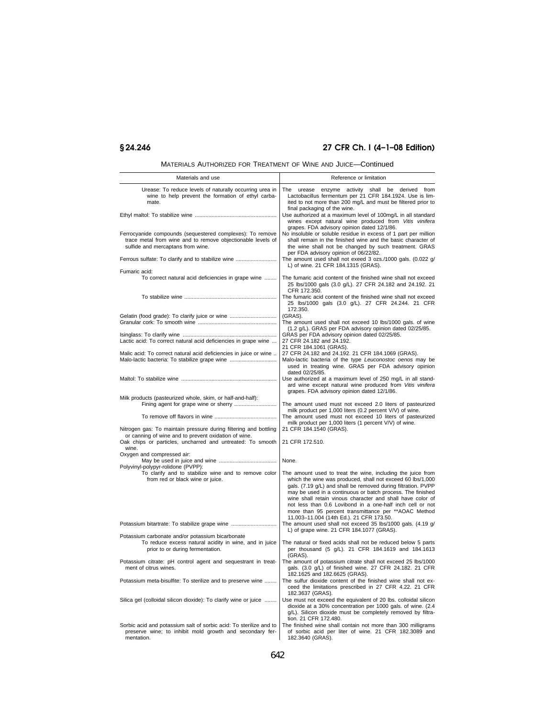# **§ 24.246 27 CFR Ch. I (4–1–08 Edition)**

| Materials and use                                                                                                                                                                               | Reference or limitation                                                                                                                                                                                                                                                                                                                                    |
|-------------------------------------------------------------------------------------------------------------------------------------------------------------------------------------------------|------------------------------------------------------------------------------------------------------------------------------------------------------------------------------------------------------------------------------------------------------------------------------------------------------------------------------------------------------------|
| Urease: To reduce levels of naturally occurring urea in<br>wine to help prevent the formation of ethyl carba-<br>mate.                                                                          | The urease enzyme activity shall be derived from<br>Lactobacillus fermentum per 21 CFR 184.1924. Use is lim-<br>ited to not more than 200 mg/L and must be filtered prior to<br>final packaging of the wine.                                                                                                                                               |
|                                                                                                                                                                                                 | Use authorized at a maximum level of 100mg/L in all standard<br>wines except natural wine produced from Vitis vinifera<br>grapes. FDA advisory opinion dated 12/1/86.                                                                                                                                                                                      |
| Ferrocyanide compounds (sequestered complexes): To remove<br>trace metal from wine and to remove objectionable levels of<br>sulfide and mercaptans from wine.                                   | No insoluble or soluble residue in excess of 1 part per million<br>shall remain in the finished wine and the basic character of<br>the wine shall not be changed by such treatment. GRAS<br>per FDA advisory opinion of 06/22/82.                                                                                                                          |
| Ferrous sulfate: To clarify and to stabilize wine                                                                                                                                               | The amount used shall not exeed 3 ozs./1000 gals. (0.022 g/<br>L) of wine. 21 CFR 184.1315 (GRAS).                                                                                                                                                                                                                                                         |
| Fumaric acid:                                                                                                                                                                                   |                                                                                                                                                                                                                                                                                                                                                            |
| To correct natural acid deficiencies in grape wine                                                                                                                                              | The fumaric acid content of the finished wine shall not exceed<br>25 lbs/1000 gals (3.0 g/L). 27 CFR 24.182 and 24.192. 21<br>CFR 172.350.                                                                                                                                                                                                                 |
|                                                                                                                                                                                                 | The fumaric acid content of the finished wine shall not exceed<br>25 lbs/1000 gals (3.0 g/L). 27 CFR 24.244. 21 CFR<br>172.350.                                                                                                                                                                                                                            |
| Gelatin (food grade): To clarify juice or wine                                                                                                                                                  | (GRAS).                                                                                                                                                                                                                                                                                                                                                    |
|                                                                                                                                                                                                 | The amount used shall not exceed 10 lbs/1000 gals. of wine<br>(1.2 g/L). GRAS per FDA advisory opinion dated 02/25/85.                                                                                                                                                                                                                                     |
| Lactic acid: To correct natural acid deficiencies in grape wine                                                                                                                                 | GRAS per FDA advisory opinion dated 02/25/85.<br>27 CFR 24.182 and 24.192.<br>21 CFR 184.1061 (GRAS).                                                                                                                                                                                                                                                      |
| Malic acid: To correct natural acid deficiencies in juice or wine<br>Malo-lactic bacteria: To stabilize grape wine                                                                              | 27 CFR 24.182 and 24.192. 21 CFR 184.1069 (GRAS).<br>Malo-lactic bacteria of the type Leuconostoc oenos may be<br>used in treating wine. GRAS per FDA advisory opinion<br>dated 02/25/85.                                                                                                                                                                  |
|                                                                                                                                                                                                 | Use authorized at a maximum level of 250 mg/L in all stand-<br>ard wine except natural wine produced from Vitis vinifera<br>grapes. FDA advisory opinion dated 12/1/86.                                                                                                                                                                                    |
| Milk products (pasteurized whole, skim, or half-and-half):                                                                                                                                      | The amount used must not exceed 2.0 liters of pasteurized                                                                                                                                                                                                                                                                                                  |
|                                                                                                                                                                                                 | milk product per 1,000 liters (0.2 percent V/V) of wine.<br>The amount used must not exceed 10 liters of pasteurized<br>milk product per 1,000 liters (1 percent V/V) of wine.                                                                                                                                                                             |
| Nitrogen gas: To maintain pressure during filtering and bottling<br>or canning of wine and to prevent oxidation of wine.<br>Oak chips or particles, uncharred and untreated: To smooth<br>wine. | 21 CFR 184.1540 (GRAS).<br>21 CFR 172.510.                                                                                                                                                                                                                                                                                                                 |
| Oxygen and compressed air:                                                                                                                                                                      |                                                                                                                                                                                                                                                                                                                                                            |
|                                                                                                                                                                                                 | None.                                                                                                                                                                                                                                                                                                                                                      |
| Polyvinyl-polypyr-rolidone (PVPP):<br>To clarify and to stabilize wine and to remove color<br>from red or black wine or juice.                                                                  | The amount used to treat the wine, including the juice from<br>which the wine was produced, shall not exceed 60 lbs/1,000                                                                                                                                                                                                                                  |
|                                                                                                                                                                                                 | gals. (7.19 g/L) and shall be removed during filtration. PVPP<br>may be used in a continuous or batch process. The finished<br>wine shall retain vinous character and shall have color of<br>not less than 0.6 Lovibond in a one-half inch cell or not<br>more than 95 percent transmittance per **AOAC Method<br>11.003-11.004 (14th Ed.). 21 CFR 173.50. |
| Potassium bitartrate: To stabilize grape wine                                                                                                                                                   | The amount used shall not exceed 35 lbs/1000 gals. (4.19 g/<br>L) of grape wine. 21 CFR 184.1077 (GRAS).                                                                                                                                                                                                                                                   |
| Potassium carbonate and/or potassium bicarbonate<br>To reduce excess natural acidity in wine, and in juice<br>prior to or during fermentation.                                                  | The natural or fixed acids shall not be reduced below 5 parts<br>per thousand (5 g/L). 21 CFR 184.1619 and 184.1613                                                                                                                                                                                                                                        |
| Potassium citrate: pH control agent and sequestrant in treat-<br>ment of citrus wines.                                                                                                          | (GRAS).<br>The amount of potassium citrate shall not exceed 25 lbs/1000<br>gals. (3.0 g/L) of finished wine. 27 CFR 24.182. 21 CFR                                                                                                                                                                                                                         |
| Potassium meta-bisulfite: To sterilize and to preserve wine                                                                                                                                     | 182.1625 and 182.6625 (GRAS).<br>The sulfur dioxide content of the finished wine shall not ex-<br>ceed the limitations prescribed in 27 CFR 4.22. 21 CFR<br>182.3637 (GRAS).                                                                                                                                                                               |
| Silica gel (colloidal silicon dioxide): To clarify wine or juice                                                                                                                                | Use must not exceed the equivalent of 20 lbs. colloidal silicon<br>dioxide at a 30% concentration per 1000 gals. of wine. (2.4<br>g/L). Silicon dioxide must be completely removed by filtra-<br>tion. 21 CFR 172.480.                                                                                                                                     |
| Sorbic acid and potassium salt of sorbic acid: To sterilize and to<br>preserve wine; to inhibit mold growth and secondary fer-<br>mentation.                                                    | The finished wine shall contain not more than 300 milligrams<br>of sorbic acid per liter of wine. 21 CFR 182.3089 and<br>182.3640 (GRAS).                                                                                                                                                                                                                  |

MATERIALS AUTHORIZED FOR TREATMENT OF WINE AND JUICE—Continued